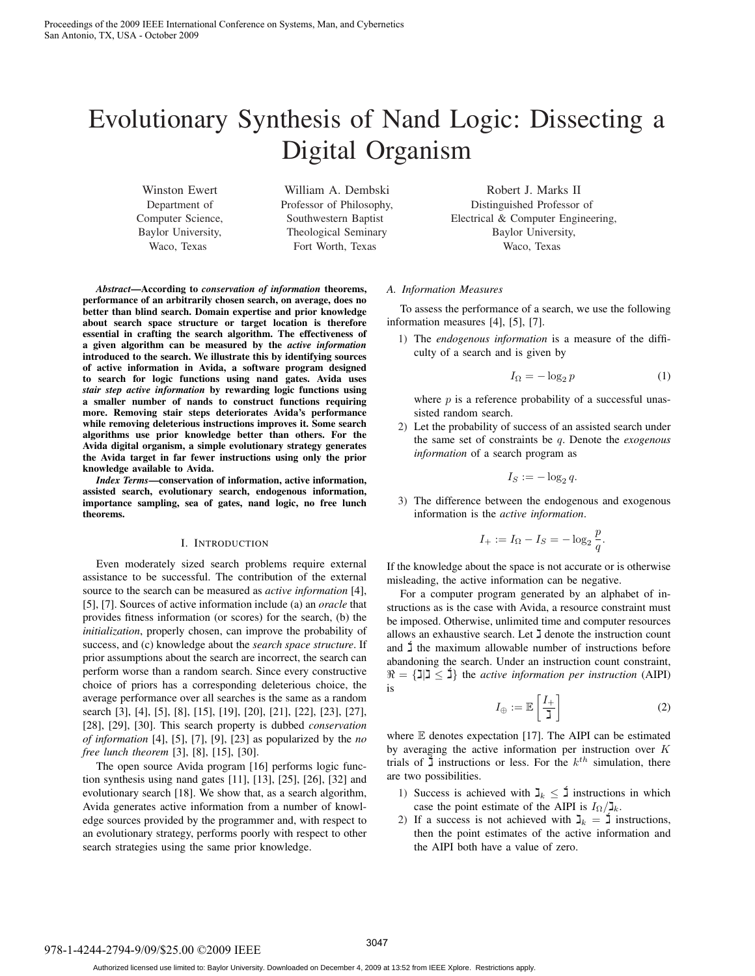# Evolutionary Synthesis of Nand Logic: Dissecting a Digital Organism

Winston Ewert Department of Computer Science, Baylor University, Waco, Texas

William A. Dembski Professor of Philosophy, Southwestern Baptist Theological Seminary Fort Worth, Texas

*Abstract*—According to *conservation of information* theorems, performance of an arbitrarily chosen search, on average, does no better than blind search. Domain expertise and prior knowledge about search space structure or target location is therefore essential in crafting the search algorithm. The effectiveness of a given algorithm can be measured by the *active information* introduced to the search. We illustrate this by identifying sources of active information in Avida, a software program designed to search for logic functions using nand gates. Avida uses *stair step active information* by rewarding logic functions using a smaller number of nands to construct functions requiring more. Removing stair steps deteriorates Avida's performance while removing deleterious instructions improves it. Some search algorithms use prior knowledge better than others. For the Avida digital organism, a simple evolutionary strategy generates the Avida target in far fewer instructions using only the prior knowledge available to Avida.

*Index Terms*—conservation of information, active information, assisted search, evolutionary search, endogenous information, importance sampling, sea of gates, nand logic, no free lunch theorems.

# I. INTRODUCTION

Even moderately sized search problems require external assistance to be successful. The contribution of the external source to the search can be measured as *active information* [4], [5], [7]. Sources of active information include (a) an *oracle* that provides fitness information (or scores) for the search, (b) the *initialization*, properly chosen, can improve the probability of success, and (c) knowledge about the *search space structure*. If prior assumptions about the search are incorrect, the search can perform worse than a random search. Since every constructive choice of priors has a corresponding deleterious choice, the average performance over all searches is the same as a random search [3], [4], [5], [8], [15], [19], [20], [21], [22], [23], [27], [28], [29], [30]. This search property is dubbed *conservation of information* [4], [5], [7], [9], [23] as popularized by the *no free lunch theorem* [3], [8], [15], [30].

The open source Avida program [16] performs logic function synthesis using nand gates [11], [13], [25], [26], [32] and evolutionary search [18]. We show that, as a search algorithm, Avida generates active information from a number of knowledge sources provided by the programmer and, with respect to an evolutionary strategy, performs poorly with respect to other search strategies using the same prior knowledge.

Robert J. Marks II Distinguished Professor of Electrical & Computer Engineering, Baylor University, Waco, Texas

#### *A. Information Measures*

To assess the performance of a search, we use the following information measures [4], [5], [7].

1) The *endogenous information* is a measure of the difficulty of a search and is given by

$$
I_{\Omega} = -\log_2 p \tag{1}
$$

where  $p$  is a reference probability of a successful unassisted random search.

2) Let the probability of success of an assisted search under the same set of constraints be q. Denote the *exogenous information* of a search program as

$$
I_S := -\log_2 q.
$$

3) The difference between the endogenous and exogenous information is the *active information*.

$$
I_+ := I_{\Omega} - I_S = -\log_2 \frac{p}{q}.
$$

If the knowledge about the space is not accurate or is otherwise misleading, the active information can be negative.

For a computer program generated by an alphabet of instructions as is the case with Avida, a resource constraint must be imposed. Otherwise, unlimited time and computer resources allows an exhaustive search. Let  $\overline{J}$  denote the instruction count and  $\ddagger$  the maximum allowable number of instructions before abandoning the search. Under an instruction count constraint,  $\Re = {\text{min}} \leq \mathbf{i}$  the *active information per instruction* (AIPI) is

$$
I_{\oplus} := \mathbb{E}\left[\frac{I_{+}}{\mathbf{J}}\right] \tag{2}
$$

where E denotes expectation [17]. The AIPI can be estimated by averaging the active information per instruction over  $K$ trials of  $\sharp$  instructions or less. For the  $k^{th}$  simulation, there are two possibilities.

- 1) Success is achieved with  $\mathbf{I}_k \leq \mathbf{I}$  instructions in which case the point estimate of the AIPI is  $I_{\Omega}/\mathbb{I}_{k}$ .
- 2) If a success is not achieved with  $\mathbf{J}_k = \mathbf{I}$  instructions, then the point estimates of the active information and the AIPI both have a value of zero.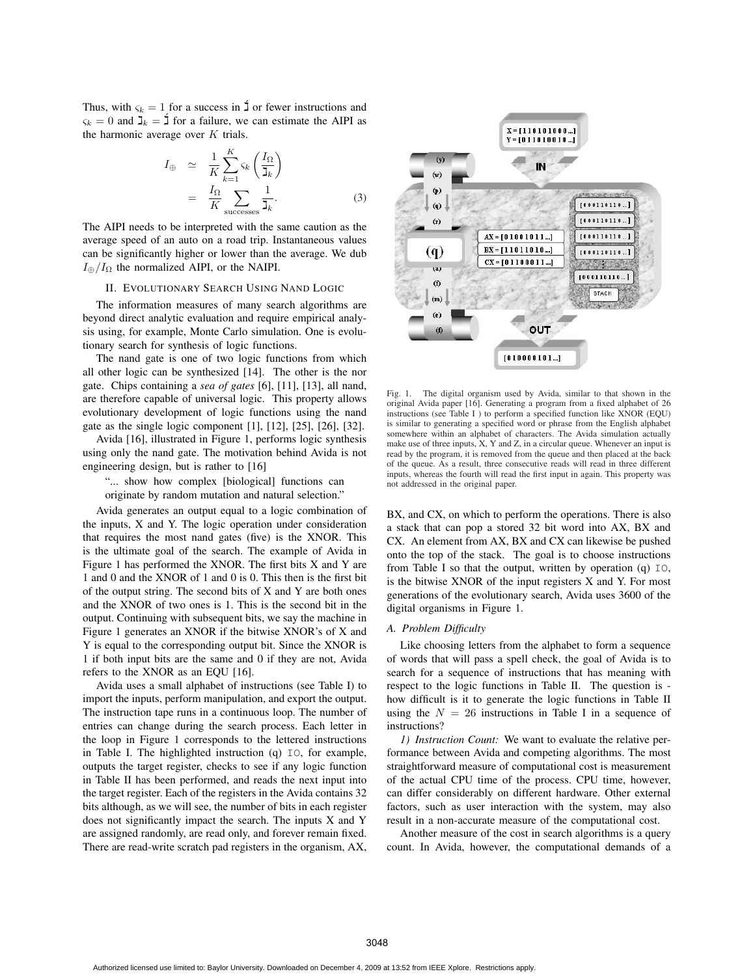Thus, with  $\varsigma_k = 1$  for a success in  $\sharp$  or fewer instructions and  $\varsigma_k = 0$  and  $\mathbf{J}_k = \mathbf{I}$  for a failure, we can estimate the AIPI as the harmonic average over  $K$  trials.

$$
I_{\oplus} \simeq \frac{1}{K} \sum_{k=1}^{K} \varsigma_k \left( \frac{I_{\Omega}}{I_k} \right)
$$
  
= 
$$
\frac{I_{\Omega}}{K} \sum_{\text{successes}} \frac{1}{I_k}.
$$
 (3)

The AIPI needs to be interpreted with the same caution as the average speed of an auto on a road trip. Instantaneous values can be significantly higher or lower than the average. We dub  $I_{\oplus}/I_{\Omega}$  the normalized AIPI, or the NAIPI.

## II. EVOLUTIONARY SEARCH USING NAND LOGIC

The information measures of many search algorithms are beyond direct analytic evaluation and require empirical analysis using, for example, Monte Carlo simulation. One is evolutionary search for synthesis of logic functions.

The nand gate is one of two logic functions from which all other logic can be synthesized [14]. The other is the nor gate. Chips containing a *sea of gates* [6], [11], [13], all nand, are therefore capable of universal logic. This property allows evolutionary development of logic functions using the nand gate as the single logic component [1], [12], [25], [26], [32].

Avida [16], illustrated in Figure 1, performs logic synthesis using only the nand gate. The motivation behind Avida is not engineering design, but is rather to [16]

"... show how complex [biological] functions can originate by random mutation and natural selection."

Avida generates an output equal to a logic combination of the inputs, X and Y. The logic operation under consideration that requires the most nand gates (five) is the XNOR. This is the ultimate goal of the search. The example of Avida in Figure 1 has performed the XNOR. The first bits X and Y are 1 and 0 and the XNOR of 1 and 0 is 0. This then is the first bit of the output string. The second bits of X and Y are both ones and the XNOR of two ones is 1. This is the second bit in the output. Continuing with subsequent bits, we say the machine in Figure 1 generates an XNOR if the bitwise XNOR's of X and Y is equal to the corresponding output bit. Since the XNOR is 1 if both input bits are the same and 0 if they are not, Avida refers to the XNOR as an EQU [16].

Avida uses a small alphabet of instructions (see Table I) to import the inputs, perform manipulation, and export the output. The instruction tape runs in a continuous loop. The number of entries can change during the search process. Each letter in the loop in Figure 1 corresponds to the lettered instructions in Table I. The highlighted instruction (q) IO, for example, outputs the target register, checks to see if any logic function in Table II has been performed, and reads the next input into the target register. Each of the registers in the Avida contains 32 bits although, as we will see, the number of bits in each register does not significantly impact the search. The inputs X and Y are assigned randomly, are read only, and forever remain fixed. There are read-write scratch pad registers in the organism, AX,



Fig. 1. The digital organism used by Avida, similar to that shown in the original Avida paper [16]. Generating a program from a fixed alphabet of 26 instructions (see Table I ) to perform a specified function like XNOR (EQU) is similar to generating a specified word or phrase from the English alphabet somewhere within an alphabet of characters. The Avida simulation actually make use of three inputs,  $X$ ,  $Y$  and  $Z$ , in a circular queue. Whenever an input is read by the program, it is removed from the queue and then placed at the back of the queue. As a result, three consecutive reads will read in three different inputs, whereas the fourth will read the first input in again. This property was not addressed in the original paper.

BX, and CX, on which to perform the operations. There is also a stack that can pop a stored 32 bit word into AX, BX and CX. An element from AX, BX and CX can likewise be pushed onto the top of the stack. The goal is to choose instructions from Table I so that the output, written by operation (q) IO, is the bitwise XNOR of the input registers X and Y. For most generations of the evolutionary search, Avida uses 3600 of the digital organisms in Figure 1.

# *A. Problem Difficulty*

Like choosing letters from the alphabet to form a sequence of words that will pass a spell check, the goal of Avida is to search for a sequence of instructions that has meaning with respect to the logic functions in Table II. The question is how difficult is it to generate the logic functions in Table II using the  $N = 26$  instructions in Table I in a sequence of instructions?

*1) Instruction Count:* We want to evaluate the relative performance between Avida and competing algorithms. The most straightforward measure of computational cost is measurement of the actual CPU time of the process. CPU time, however, can differ considerably on different hardware. Other external factors, such as user interaction with the system, may also result in a non-accurate measure of the computational cost.

Another measure of the cost in search algorithms is a query count. In Avida, however, the computational demands of a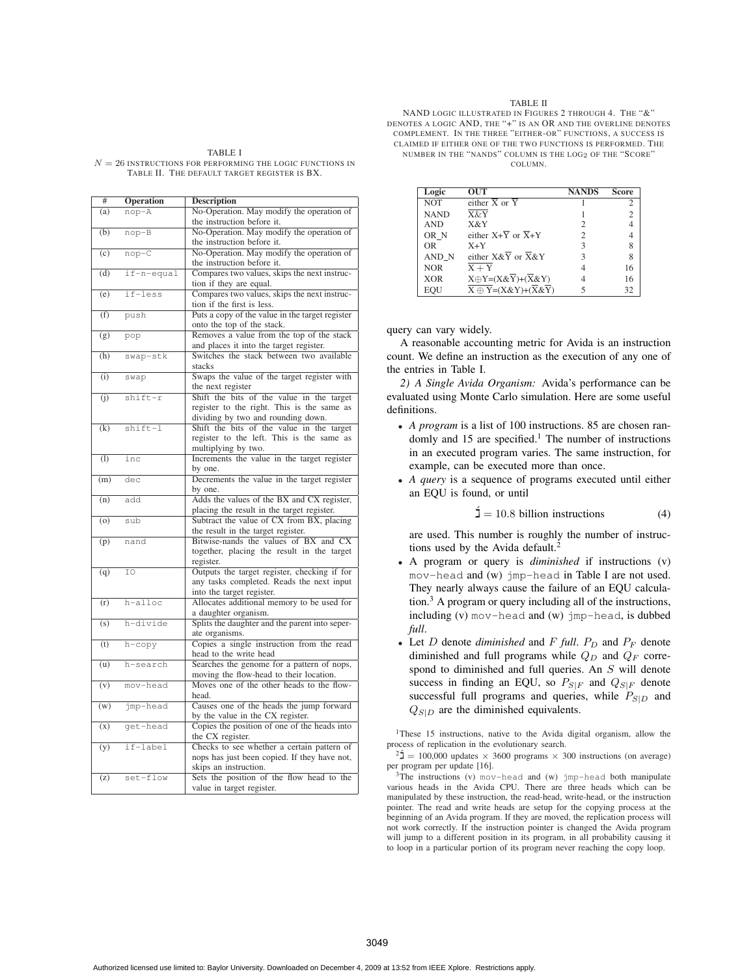#### TABLE I

 $N = 26$  INSTRUCTIONS FOR PERFORMING THE LOGIC FUNCTIONS IN TABLE II. THE DEFAULT TARGET REGISTER IS BX.

| #   | <b>Operation</b> | <b>Description</b>                              |
|-----|------------------|-------------------------------------------------|
| (a) | nop-A            | No-Operation. May modify the operation of       |
|     |                  | the instruction before it.                      |
| (b) | nop-B            | No-Operation. May modify the operation of       |
|     |                  | the instruction before it.                      |
| (c) | $nop-C$          | No-Operation. May modify the operation of       |
|     |                  | the instruction before it.                      |
| (d) | if-n-equal       | Compares two values, skips the next instruc-    |
|     |                  | tion if they are equal.                         |
| (e) | if-less          | Compares two values, skips the next instruc-    |
|     |                  |                                                 |
|     |                  | tion if the first is less.                      |
| (f) | push             | Puts a copy of the value in the target register |
|     |                  | onto the top of the stack.                      |
| (g) | pop              | Removes a value from the top of the stack       |
|     |                  | and places it into the target register.         |
| (h) | swap-stk         | Switches the stack between two available        |
|     |                  | stacks                                          |
| (i) | swap             | Swaps the value of the target register with     |
|     |                  | the next register                               |
| (i) | shift-r          | Shift the bits of the value in the target       |
|     |                  | register to the right. This is the same as      |
|     |                  | dividing by two and rounding down.              |
| (k) | shift-l          | Shift the bits of the value in the target       |
|     |                  | register to the left. This is the same as       |
|     |                  | multiplying by two.                             |
| (1) | inc              | Increments the value in the target register     |
|     |                  | by one.                                         |
| (m) | dec              | Decrements the value in the target register     |
|     |                  | by one.                                         |
| (n) | add              | Adds the values of the BX and CX register,      |
|     |                  | placing the result in the target register.      |
| (0) | sub              | Subtract the value of CX from BX, placing       |
|     |                  | the result in the target register.              |
| (p) | nand             | Bitwise-nands the values of BX and CX           |
|     |                  | together, placing the result in the target      |
|     |                  | register.                                       |
| (q) | IO               | Outputs the target register, checking if for    |
|     |                  | any tasks completed. Reads the next input       |
|     |                  | into the target register.                       |
| (r) | h-alloc          | Allocates additional memory to be used for      |
|     |                  | a daughter organism.                            |
| (s) | h-divide         | Splits the daughter and the parent into seper-  |
|     |                  | ate organisms.                                  |
| (t) | h-copy           | Copies a single instruction from the read       |
|     |                  | head to the write head                          |
| (u) | h-search         | Searches the genome for a pattern of nops,      |
|     |                  | moving the flow-head to their location.         |
| (v) | mov-head         | Moves one of the other heads to the flow-       |
|     |                  | head.                                           |
| (w) | jmp-head         | Causes one of the heads the jump forward        |
|     |                  | by the value in the CX register.                |
| (x) | get-head         | Copies the position of one of the heads into    |
|     |                  | the CX register.                                |
| (y) | if-label         | Checks to see whether a certain pattern of      |
|     |                  | nops has just been copied. If they have not,    |
|     |                  | skips an instruction.                           |
| (z) | set-flow         | Sets the position of the flow head to the       |
|     |                  | value in target register.                       |

## TABLE II

NAND LOGIC ILLUSTRATED IN FIGURES 2 THROUGH 4. THE "&" DENOTES A LOGIC AND, THE "+" IS AN OR AND THE OVERLINE DENOTES COMPLEMENT. IN THE THREE "EITHER-OR" FUNCTIONS, A SUCCESS IS CLAIMED IF EITHER ONE OF THE TWO FUNCTIONS IS PERFORMED. THE NUMBER IN THE "NANDS" COLUMN IS THE LOG<sup>2</sup> OF THE "SCORE" COLUMN.

| Logic       | <b>OUT</b>                                                          | <b>NANDS</b>                | <b>Score</b>   |
|-------------|---------------------------------------------------------------------|-----------------------------|----------------|
| <b>NOT</b>  | either $\overline{X}$ or $\overline{Y}$                             |                             | $\mathfrak{D}$ |
| <b>NAND</b> | X&Y                                                                 |                             | 2              |
| <b>AND</b>  | X&Y                                                                 | $\mathcal{D}_{\mathcal{L}}$ |                |
| OR N        | either $X+\overline{Y}$ or $\overline{X}+Y$                         | 2                           |                |
| OR.         | $X+Y$                                                               | 3                           | 8              |
| AND N       | either $X&\overline{Y}$ or $\overline{X}&Y$                         | 3                           | 8              |
| <b>NOR</b>  | $X + Y$                                                             |                             | 16             |
| <b>XOR</b>  | $X \oplus Y = (X \& Y) + (X \& Y)$                                  |                             | 16             |
| EOU         | $\overline{X \oplus Y} = (X \& Y) + (\overline{X} \& \overline{Y})$ |                             | 32             |

# query can vary widely.

A reasonable accounting metric for Avida is an instruction count. We define an instruction as the execution of any one of the entries in Table I.

*2) A Single Avida Organism:* Avida's performance can be evaluated using Monte Carlo simulation. Here are some useful definitions.

- *A program* is a list of 100 instructions. 85 are chosen randomly and 15 are specified.<sup>1</sup> The number of instructions in an executed program varies. The same instruction, for example, can be executed more than once.
- *A query* is a sequence of programs executed until either an EQU is found, or until

$$
\mathbf{\dot{I}} = 10.8 \text{ billion instructions} \tag{4}
$$

are used. This number is roughly the number of instructions used by the Avida default.<sup>2</sup>

- A program or query is *diminished* if instructions (v) mov-head and (w) jmp-head in Table I are not used. They nearly always cause the failure of an EQU calculation.3 A program or query including all of the instructions, including (v) mov-head and (w) jmp-head, is dubbed *full*.
- Let  $D$  denote *diminished* and  $F$  *full*.  $P_D$  and  $P_F$  denote diminished and full programs while  $Q_D$  and  $Q_F$  correspond to diminished and full queries. An S will denote success in finding an EQU, so  $P_{S|F}$  and  $Q_{S|F}$  denote successful full programs and queries, while  $P_{S|D}$  and  $Q_{S|D}$  are the diminished equivalents.

<sup>1</sup>These 15 instructions, native to the Avida digital organism, allow the process of replication in the evolutionary search.

 $2\text{ m} = 100,000$  updates  $\times$  3600 programs  $\times$  300 instructions (on average) per program per update [16].

3The instructions (v) mov-head and (w) jmp-head both manipulate various heads in the Avida CPU. There are three heads which can be manipulated by these instruction, the read-head, write-head, or the instruction pointer. The read and write heads are setup for the copying process at the beginning of an Avida program. If they are moved, the replication process will not work correctly. If the instruction pointer is changed the Avida program will jump to a different position in its program, in all probability causing it to loop in a particular portion of its program never reaching the copy loop.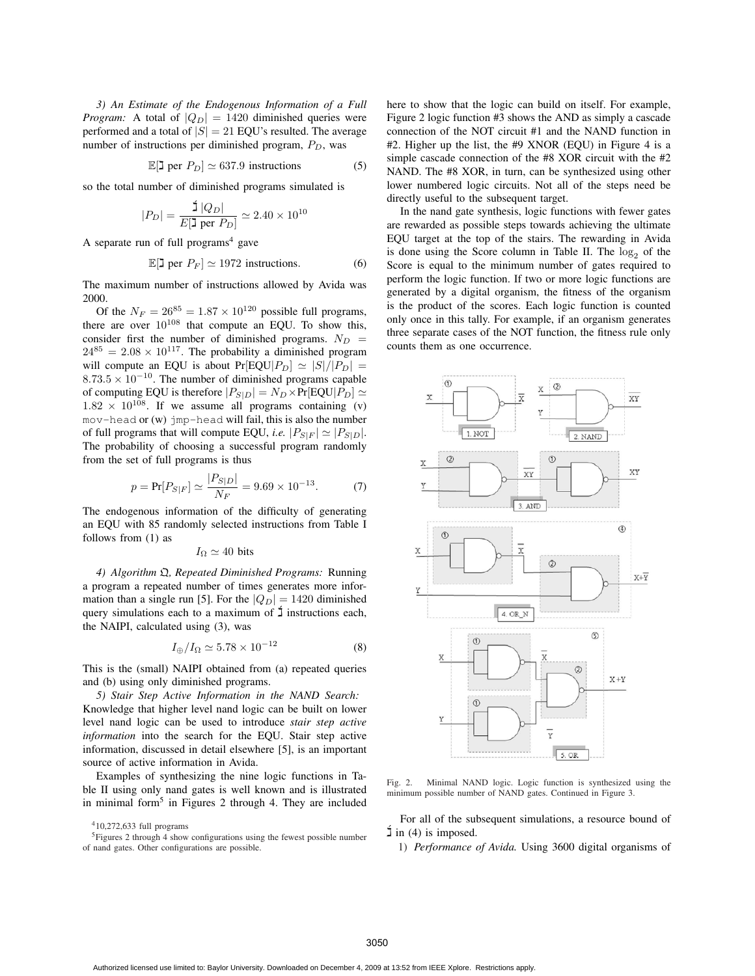*3) An Estimate of the Endogenous Information of a Full Program:* A total of  $|Q_D| = 1420$  diminished queries were performed and a total of  $|S| = 21$  EQU's resulted. The average number of instructions per diminished program,  $P_D$ , was

$$
\mathbb{E}[\mathbf{J} \text{ per } P_D] \simeq 637.9 \text{ instructions} \tag{5}
$$

so the total number of diminished programs simulated is

$$
|P_D| = \frac{\mathsf{1}|Q_D|}{E[\mathsf{1} \text{ per } P_D]} \simeq 2.40 \times 10^{10}
$$

A separate run of full programs $4$  gave

$$
\mathbb{E}[\mathbf{J} \text{ per } P_F] \simeq 1972 \text{ instructions.}
$$
 (6)

The maximum number of instructions allowed by Avida was

2000.<br>Of the  $N_F = 26^{85} = 1.87 \times 10^{120}$  possible full programs, Of the  $N_F = 26^{85} = 1.87 \times 10^{120}$  possible full programs,<br>re are over 10<sup>108</sup> that compute an EQU. To show this there are over  $10^{108}$  that compute an EQU. To show this,<br>consider first the number of diminished programs  $N_{\text{D}}$ consider first the number of diminished programs.  $N_D = 24^{85} - 2.08 \times 10^{117}$  The probability a diminished program  $24^{85} = 2.08 \times 10^{117}$ . The probability a diminished program will compute an EQU is about  $Pr[EQU|P_D] \simeq |S|/|P_D| = 8.73.5 \times 10^{-10}$ . The number of diminished programs capable  $8.73.5 \times 10^{-10}$ . The number of diminished programs capable<br>of computing EQU is therefore  $|P_{\text{CUS}}| = N_{\text{D}} \times Pr[$ EQU $|P_{\text{D}}| \sim$ of computing EQU is therefore  $|P_{S|D}| = N_D \times Pr[EQU|P_D] \simeq 1.82 \times 10^{108}$  If we assume all programs containing (v)  $1.82 \times 10^{108}$ . If we assume all programs containing (v)<br>mov-bead or (w) imp-bead will fail this is also the number mov-head or (w) jmp-head will fail, this is also the number of full programs that will compute EQU, *i.e.*  $|P_{S|F}| \simeq |P_{S|D}|$ . The probability of choosing a successful program randomly from the set of full programs is thus

$$
p = \Pr[P_{S|F}] \simeq \frac{|P_{S|D}|}{N_F} = 9.69 \times 10^{-13}.
$$
 (7)

 $N_F$ <br>The endogenous information of the difficulty of generating an EQU with 85 randomly selected instructions from Table I follows from (1) as

# $I_{\Omega} \simeq 40$  bits

*4) Algorithm* Q*, Repeated Diminished Programs:* Running a program a repeated number of times generates more information than a single run [5]. For the  $|Q_D| = 1420$  diminished query simulations each to a maximum of  $\overline{J}$  instructions each, the NAIPI, calculated using (3), was

$$
I_{\oplus}/I_{\Omega} \simeq 5.78 \times 10^{-12} \tag{8}
$$

This is the (small) NAIPI obtained from (a) repeated queries and (b) using only diminished programs.

*5) Stair Step Active Information in the NAND Search:* Knowledge that higher level nand logic can be built on lower level nand logic can be used to introduce *stair step active information* into the search for the EQU. Stair step active information, discussed in detail elsewhere [5], is an important source of active information in Avida.

Examples of synthesizing the nine logic functions in Table II using only nand gates is well known and is illustrated in minimal form<sup>5</sup> in Figures 2 through 4. They are included

410,272,633 full programs

<sup>5</sup>Figures 2 through 4 show configurations using the fewest possible number of nand gates. Other configurations are possible.

here to show that the logic can build on itself. For example, Figure 2 logic function #3 shows the AND as simply a cascade connection of the NOT circuit #1 and the NAND function in #2. Higher up the list, the #9 XNOR (EQU) in Figure 4 is a simple cascade connection of the #8 XOR circuit with the #2 NAND. The #8 XOR, in turn, can be synthesized using other lower numbered logic circuits. Not all of the steps need be directly useful to the subsequent target.

In the nand gate synthesis, logic functions with fewer gates are rewarded as possible steps towards achieving the ultimate EQU target at the top of the stairs. The rewarding in Avida is done using the Score column in Table II. The  $log_2$  of the Score is equal to the minimum number of gates required to perform the logic function. If two or more logic functions are generated by a digital organism, the fitness of the organism is the product of the scores. Each logic function is counted only once in this tally. For example, if an organism generates three separate cases of the NOT function, the fitness rule only counts them as one occurrence.



Fig. 2. Minimal NAND logic. Logic function is synthesized using the minimum possible number of NAND gates. Continued in Figure 3.

For all of the subsequent simulations, a resource bound of  $\hat{\mathbf{I}}$  in (4) is imposed.

1) *Performance of Avida.* Using 3600 digital organisms of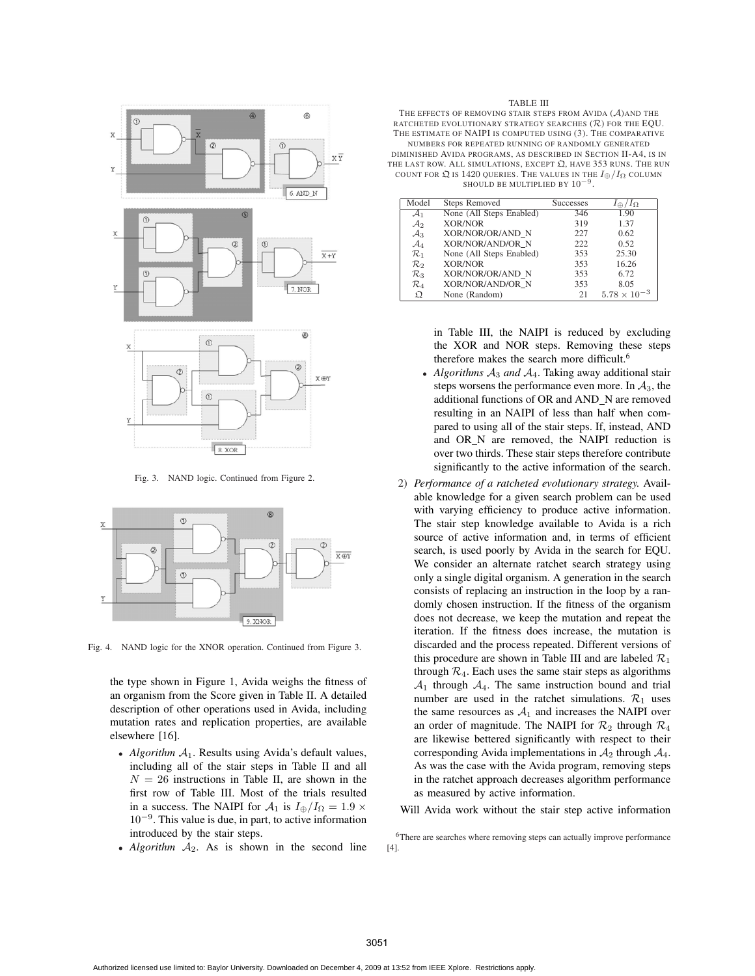

Fig. 3. NAND logic. Continued from Figure 2.



Fig. 4. NAND logic for the XNOR operation. Continued from Figure 3.

the type shown in Figure 1, Avida weighs the fitness of an organism from the Score given in Table II. A detailed description of other operations used in Avida, including mutation rates and replication properties, are available elsewhere [16].

- *Algorithm*  $A_1$ . Results using Avida's default values, including all of the stair steps in Table II and all  $N = 26$  instructions in Table II, are shown in the first row of Table III. Most of the trials resulted in a success. The NAIPI for  $A_1$  is  $I_{\oplus}/I_{\Omega} = 1.9 \times$ 10<sup>−</sup><sup>9</sup>. This value is due, in part, to active information introduced by the stair steps.
- $Algorithm A<sub>2</sub>$ . As is shown in the second line

#### TABLE III

THE EFFECTS OF REMOVING STAIR STEPS FROM AVIDA (A)AND THE RATCHETED EVOLUTIONARY STRATEGY SEARCHES  $(\mathcal{R})$  for the EQU. THE ESTIMATE OF NAIPI IS COMPUTED USING (3). THE COMPARATIVE NUMBERS FOR REPEATED RUNNING OF RANDOMLY GENERATED DIMINISHED AVIDA PROGRAMS, AS DESCRIBED IN SECTION II-A4, IS IN THE LAST ROW. ALL SIMULATIONS, EXCEPT  $\mathfrak{Q}$ , HAVE 353 RUNS. THE RUN COUNT FOR  $\mathfrak Q$  is 1420 queries. The values in the  $I_{\oplus}/I_{\Omega}$  column SHOULD BE MULTIPLIED BY  $10^{-9}$ 

| Model           | <b>Steps Removed</b>     | <b>Successes</b> | $I_{\oplus}/I_{\Omega}$ |
|-----------------|--------------------------|------------------|-------------------------|
| $\mathcal{A}_1$ | None (All Steps Enabled) | 346              | 1.90                    |
| $\mathcal{A}_2$ | <b>XOR/NOR</b>           | 319              | 1.37                    |
| $\mathcal{A}_3$ | XOR/NOR/OR/AND N         | 227              | 0.62                    |
| $\mathcal{A}_4$ | XOR/NOR/AND/OR N         | 222              | 0.52                    |
| $\mathcal{R}_1$ | None (All Steps Enabled) | 353              | 25.30                   |
| $\mathcal{R}_2$ | <b>XOR/NOR</b>           | 353              | 16.26                   |
| $\mathcal{R}_3$ | XOR/NOR/OR/AND N         | 353              | 6.72                    |
| $\mathcal{R}_4$ | XOR/NOR/AND/OR N         | 353              | 8.05                    |
| Ω               | None (Random)            | 21               | $5.78 \times 10^{-3}$   |

in Table III, the NAIPI is reduced by excluding the XOR and NOR steps. Removing these steps therefore makes the search more difficult.6

- Algorithms  $A_3$  and  $A_4$ . Taking away additional stair steps worsens the performance even more. In  $A_3$ , the additional functions of OR and AND\_N are removed resulting in an NAIPI of less than half when compared to using all of the stair steps. If, instead, AND and OR N are removed, the NAIPI reduction is over two thirds. These stair steps therefore contribute significantly to the active information of the search.
- 2) *Performance of a ratcheted evolutionary strategy.* Available knowledge for a given search problem can be used with varying efficiency to produce active information. The stair step knowledge available to Avida is a rich source of active information and, in terms of efficient search, is used poorly by Avida in the search for EQU. We consider an alternate ratchet search strategy using only a single digital organism. A generation in the search consists of replacing an instruction in the loop by a randomly chosen instruction. If the fitness of the organism does not decrease, we keep the mutation and repeat the iteration. If the fitness does increase, the mutation is discarded and the process repeated. Different versions of this procedure are shown in Table III and are labeled  $\mathcal{R}_1$ through  $\mathcal{R}_4$ . Each uses the same stair steps as algorithms  $A_1$  through  $A_4$ . The same instruction bound and trial number are used in the ratchet simulations.  $\mathcal{R}_1$  uses the same resources as  $A_1$  and increases the NAIPI over an order of magnitude. The NAIPI for  $\mathcal{R}_2$  through  $\mathcal{R}_4$ are likewise bettered significantly with respect to their corresponding Avida implementations in  $A_2$  through  $A_4$ . As was the case with the Avida program, removing steps in the ratchet approach decreases algorithm performance as measured by active information.

Will Avida work without the stair step active information

<sup>6</sup>There are searches where removing steps can actually improve performance [4].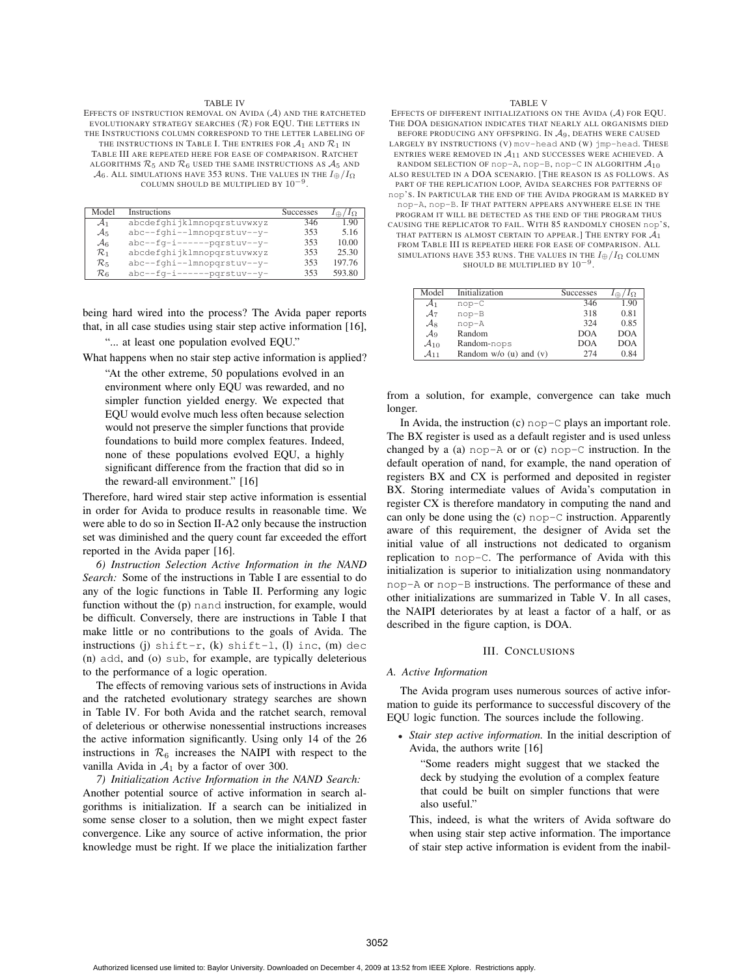#### TABLE IV

EFFECTS OF INSTRUCTION REMOVAL ON AVIDA (A) AND THE RATCHETED EVOLUTIONARY STRATEGY SEARCHES  $(R)$  for EQU. The letters in THE INSTRUCTIONS COLUMN CORRESPOND TO THE LETTER LABELING OF THE INSTRUCTIONS IN TABLE I. THE ENTRIES FOR  $A_1$  and  $R_1$  in TABLE III ARE REPEATED HERE FOR EASE OF COMPARISON. RATCHET ALGORITHMS  $\mathcal{R}_5$  and  $\mathcal{R}_6$  used the same instructions as  $\mathcal{A}_5$  and  $\mathcal{A}_6$ . ALL SIMULATIONS HAVE 353 RUNS. THE VALUES IN THE  $I_{\oplus}/I_{\Omega}$ COLUMN SHOULD BE MULTIPLIED BY  $10^{{\rm -}9}$ 

| Model             | Instructions               | <b>Successes</b> | $I_{\Omega}$ |
|-------------------|----------------------------|------------------|--------------|
| $\mathcal{A}_1$   | abcdefghijklmnopqrstuvwxyz | 346              | 1.90         |
| $\mathcal{A}_5$   | abc--fghi--lmnopqrstuv--y- | 353              | 5.16         |
| $\mathcal{A}_6$   | abc--fq-i------pqrstuv--y- | 353              | 10.00        |
| $\mathcal{R}_1$   | abcdefghijklmnopqrstuvwxyz | 353              | 25.30        |
| $\mathcal{R}_5$   | abc--fqhi--lmnopqrstuv--y- | 353              | 197.76       |
| $\mathcal{R}_{6}$ | abc--fq-i------pqrstuv--y- | 353              | 593.80       |

being hard wired into the process? The Avida paper reports that, in all case studies using stair step active information [16],

"... at least one population evolved EQU."

What happens when no stair step active information is applied?

"At the other extreme, 50 populations evolved in an environment where only EQU was rewarded, and no simpler function yielded energy. We expected that EQU would evolve much less often because selection would not preserve the simpler functions that provide foundations to build more complex features. Indeed, none of these populations evolved EQU, a highly significant difference from the fraction that did so in the reward-all environment." [16]

Therefore, hard wired stair step active information is essential in order for Avida to produce results in reasonable time. We were able to do so in Section II-A2 only because the instruction set was diminished and the query count far exceeded the effort reported in the Avida paper [16].

*6) Instruction Selection Active Information in the NAND Search:* Some of the instructions in Table I are essential to do any of the logic functions in Table II. Performing any logic function without the (p) nand instruction, for example, would be difficult. Conversely, there are instructions in Table I that make little or no contributions to the goals of Avida. The instructions (j) shift-r, (k) shift-l, (l) inc, (m) dec (n) add, and (o) sub, for example, are typically deleterious to the performance of a logic operation.

The effects of removing various sets of instructions in Avida and the ratcheted evolutionary strategy searches are shown in Table IV. For both Avida and the ratchet search, removal of deleterious or otherwise nonessential instructions increases the active information significantly. Using only 14 of the 26 instructions in  $\mathcal{R}_6$  increases the NAIPI with respect to the vanilla Avida in  $A_1$  by a factor of over 300.

*7) Initialization Active Information in the NAND Search:* Another potential source of active information in search algorithms is initialization. If a search can be initialized in some sense closer to a solution, then we might expect faster convergence. Like any source of active information, the prior knowledge must be right. If we place the initialization farther

#### TABLE V

EFFECTS OF DIFFERENT INITIALIZATIONS ON THE AVIDA (A) FOR EQU. THE DOA DESIGNATION INDICATES THAT NEARLY ALL ORGANISMS DIED BEFORE PRODUCING ANY OFFSPRING. IN  $A_9$ , deaths were caused LARGELY BY INSTRUCTIONS (V) mov-head AND (W) jmp-head. THESE ENTRIES WERE REMOVED IN  $A_{11}$  and successes were achieved. A RANDOM SELECTION OF nop-A, nop-B, nop-C IN ALGORITHM  $\mathcal{A}_{10}$ ALSO RESULTED IN A DOA SCENARIO. [THE REASON IS AS FOLLOWS. AS PART OF THE REPLICATION LOOP, AVIDA SEARCHES FOR PATTERNS OF nop'S. IN PARTICULAR THE END OF THE AVIDA PROGRAM IS MARKED BY nop-A, nop-B. IF THAT PATTERN APPEARS ANYWHERE ELSE IN THE PROGRAM IT WILL BE DETECTED AS THE END OF THE PROGRAM THUS CAUSING THE REPLICATOR TO FAIL. WITH 85 RANDOMLY CHOSEN nop'S, THAT PATTERN IS ALMOST CERTAIN TO APPEAR.] THE ENTRY FOR  $\mathcal{A}_1$ FROM TABLE III IS REPEATED HERE FOR EASE OF COMPARISON. ALL SIMULATIONS HAVE 353 RUNS. THE VALUES IN THE  $I_\oplus/I_\Omega$  COLUMN SHOULD BE MULTIPLIED BY  $10^{-9}$ 

| Model              | Initialization           | Successes  | $I_{\Omega}$<br>₩ |
|--------------------|--------------------------|------------|-------------------|
| $\mathcal{A}_1$    | $nop-C$                  | 346        | 1.90              |
| $\mathcal{A}_7$    | $nop-B$                  | 318        | 0.81              |
| $\mathcal{A}_{8}$  | nop-A                    | 324        | 0.85              |
| $\mathcal{A}_9$    | Random                   | <b>DOA</b> | <b>DOA</b>        |
| $\mathcal{A}_{10}$ | Random-nops              | <b>DOA</b> | <b>DOA</b>        |
| $\mathcal{A}_{11}$ | Random $w/o$ (u) and (v) | 274        | 0.84              |

from a solution, for example, convergence can take much longer.

In Avida, the instruction  $(c)$  nop- $C$  plays an important role. The BX register is used as a default register and is used unless changed by a (a) nop-A or or  $(c)$  nop-C instruction. In the default operation of nand, for example, the nand operation of registers BX and CX is performed and deposited in register BX. Storing intermediate values of Avida's computation in register CX is therefore mandatory in computing the nand and can only be done using the (c) nop-C instruction. Apparently aware of this requirement, the designer of Avida set the initial value of all instructions not dedicated to organism replication to nop-C. The performance of Avida with this initialization is superior to initialization using nonmandatory nop-A or nop-B instructions. The performance of these and other initializations are summarized in Table V. In all cases, the NAIPI deteriorates by at least a factor of a half, or as described in the figure caption, is DOA.

#### III. CONCLUSIONS

### *A. Active Information*

The Avida program uses numerous sources of active information to guide its performance to successful discovery of the EQU logic function. The sources include the following.

• *Stair step active information.* In the initial description of Avida, the authors write [16]

"Some readers might suggest that we stacked the deck by studying the evolution of a complex feature that could be built on simpler functions that were also useful."

This, indeed, is what the writers of Avida software do when using stair step active information. The importance of stair step active information is evident from the inabil